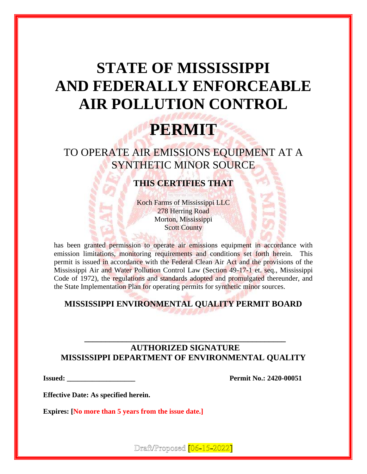# **STATE OF MISSISSIPPI AND FEDERALLY ENFORCEABLE AIR POLLUTION CONTROL**

# **PERMIT**

TO OPERATE AIR EMISSIONS EQUIPMENT AT A SYNTHETIC MINOR SOURCE

# **THIS CERTIFIES THAT**

Koch Farms of Mississippi LLC 278 Herring Road Morton, Mississippi **Scott County** 

has been granted permission to operate air emissions equipment in accordance with emission limitations, monitoring requirements and conditions set forth herein. This permit is issued in accordance with the Federal Clean Air Act and the provisions of the Mississippi Air and Water Pollution Control Law (Section 49-17-1 et. seq., Mississippi Code of 1972), the regulations and standards adopted and promulgated thereunder, and the State Implementation Plan for operating permits for synthetic minor sources.

# **MISSISSIPPI ENVIRONMENTAL QUALITY PERMIT BOARD**

## **AUTHORIZED SIGNATURE MISSISSIPPI DEPARTMENT OF ENVIRONMENTAL QUALITY**

**\_\_\_\_\_\_\_\_\_\_\_\_\_\_\_\_\_\_\_\_\_\_\_\_\_\_\_\_\_\_\_\_\_\_\_\_\_\_\_\_\_\_\_\_\_\_\_\_**

**Issued: Permit No.: 2420-00051** 

**Effective Date: As specified herein.**

**Expires: [No more than 5 years from the issue date.]**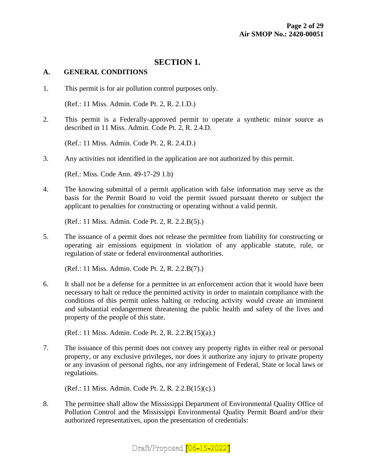#### **SECTION 1.**

#### **A. GENERAL CONDITIONS**

1. This permit is for air pollution control purposes only.

(Ref.: 11 Miss. Admin. Code Pt. 2, R. 2.1.D.)

2. This permit is a Federally-approved permit to operate a synthetic minor source as described in 11 Miss. Admin. Code Pt. 2, R. 2.4.D.

(Ref.: 11 Miss. Admin. Code Pt. 2, R. 2.4.D.)

3. Any activities not identified in the application are not authorized by this permit.

(Ref.: Miss. Code Ann. 49-17-29 1.b)

4. The knowing submittal of a permit application with false information may serve as the basis for the Permit Board to void the permit issued pursuant thereto or subject the applicant to penalties for constructing or operating without a valid permit.

(Ref.: 11 Miss. Admin. Code Pt. 2, R. 2.2.B(5).)

5. The issuance of a permit does not release the permittee from liability for constructing or operating air emissions equipment in violation of any applicable statute, rule, or regulation of state or federal environmental authorities.

(Ref.: 11 Miss. Admin. Code Pt. 2, R. 2.2.B(7).)

6. It shall not be a defense for a permittee in an enforcement action that it would have been necessary to halt or reduce the permitted activity in order to maintain compliance with the conditions of this permit unless halting or reducing activity would create an imminent and substantial endangerment threatening the public health and safety of the lives and property of the people of this state.

(Ref.: 11 Miss. Admin. Code Pt. 2, R. 2.2.B(15)(a).)

7. The issuance of this permit does not convey any property rights in either real or personal property, or any exclusive privileges, nor does it authorize any injury to private property or any invasion of personal rights, nor any infringement of Federal, State or local laws or regulations.

(Ref.: 11 Miss. Admin. Code Pt. 2, R. 2.2.B(15)(c).)

8. The permittee shall allow the Mississippi Department of Environmental Quality Office of Pollution Control and the Mississippi Environmental Quality Permit Board and/or their authorized representatives, upon the presentation of credentials: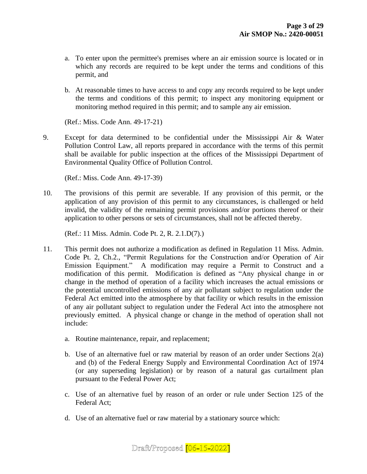- a. To enter upon the permittee's premises where an air emission source is located or in which any records are required to be kept under the terms and conditions of this permit, and
- b. At reasonable times to have access to and copy any records required to be kept under the terms and conditions of this permit; to inspect any monitoring equipment or monitoring method required in this permit; and to sample any air emission.

(Ref.: Miss. Code Ann. 49-17-21)

9. Except for data determined to be confidential under the Mississippi Air & Water Pollution Control Law, all reports prepared in accordance with the terms of this permit shall be available for public inspection at the offices of the Mississippi Department of Environmental Quality Office of Pollution Control.

(Ref.: Miss. Code Ann. 49-17-39)

10. The provisions of this permit are severable. If any provision of this permit, or the application of any provision of this permit to any circumstances, is challenged or held invalid, the validity of the remaining permit provisions and/or portions thereof or their application to other persons or sets of circumstances, shall not be affected thereby.

(Ref.: 11 Miss. Admin. Code Pt. 2, R. 2.1.D(7).)

- 11. This permit does not authorize a modification as defined in Regulation 11 Miss. Admin. Code Pt. 2, Ch.2., "Permit Regulations for the Construction and/or Operation of Air Emission Equipment." A modification may require a Permit to Construct and a modification of this permit. Modification is defined as "Any physical change in or change in the method of operation of a facility which increases the actual emissions or the potential uncontrolled emissions of any air pollutant subject to regulation under the Federal Act emitted into the atmosphere by that facility or which results in the emission of any air pollutant subject to regulation under the Federal Act into the atmosphere not previously emitted. A physical change or change in the method of operation shall not include:
	- a. Routine maintenance, repair, and replacement;
	- b. Use of an alternative fuel or raw material by reason of an order under Sections 2(a) and (b) of the Federal Energy Supply and Environmental Coordination Act of 1974 (or any superseding legislation) or by reason of a natural gas curtailment plan pursuant to the Federal Power Act;
	- c. Use of an alternative fuel by reason of an order or rule under Section 125 of the Federal Act;
	- d. Use of an alternative fuel or raw material by a stationary source which:

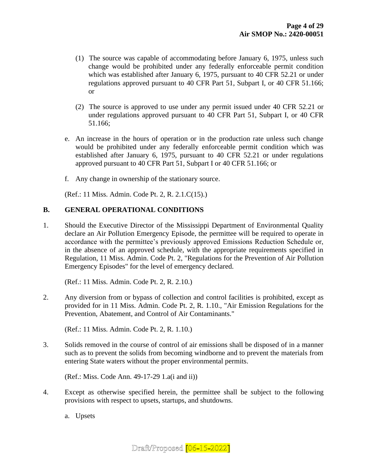- (1) The source was capable of accommodating before January 6, 1975, unless such change would be prohibited under any federally enforceable permit condition which was established after January 6, 1975, pursuant to 40 CFR 52.21 or under regulations approved pursuant to 40 CFR Part 51, Subpart I, or 40 CFR 51.166; or
- (2) The source is approved to use under any permit issued under 40 CFR 52.21 or under regulations approved pursuant to 40 CFR Part 51, Subpart I, or 40 CFR 51.166;
- e. An increase in the hours of operation or in the production rate unless such change would be prohibited under any federally enforceable permit condition which was established after January 6, 1975, pursuant to 40 CFR 52.21 or under regulations approved pursuant to 40 CFR Part 51, Subpart I or 40 CFR 51.166; or
- f. Any change in ownership of the stationary source.

(Ref.: 11 Miss. Admin. Code Pt. 2, R. 2.1.C(15).)

#### **B. GENERAL OPERATIONAL CONDITIONS**

1. Should the Executive Director of the Mississippi Department of Environmental Quality declare an Air Pollution Emergency Episode, the permittee will be required to operate in accordance with the permittee's previously approved Emissions Reduction Schedule or, in the absence of an approved schedule, with the appropriate requirements specified in Regulation, 11 Miss. Admin. Code Pt. 2, "Regulations for the Prevention of Air Pollution Emergency Episodes" for the level of emergency declared.

(Ref.: 11 Miss. Admin. Code Pt. 2, R. 2.10.)

2. Any diversion from or bypass of collection and control facilities is prohibited, except as provided for in 11 Miss. Admin. Code Pt. 2, R. 1.10., "Air Emission Regulations for the Prevention, Abatement, and Control of Air Contaminants."

(Ref.: 11 Miss. Admin. Code Pt. 2, R. 1.10.)

3. Solids removed in the course of control of air emissions shall be disposed of in a manner such as to prevent the solids from becoming windborne and to prevent the materials from entering State waters without the proper environmental permits.

(Ref.: Miss. Code Ann. 49-17-29 1.a(i and ii))

4. Except as otherwise specified herein, the permittee shall be subject to the following provisions with respect to upsets, startups, and shutdowns.

a. Upsets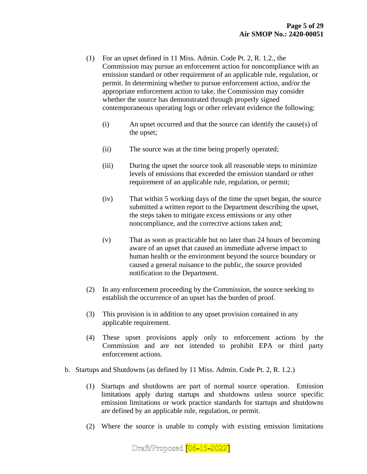- (1) For an upset defined in 11 Miss. Admin. Code Pt. 2, R. 1.2., the Commission may pursue an enforcement action for noncompliance with an emission standard or other requirement of an applicable rule, regulation, or permit. In determining whether to pursue enforcement action, and/or the appropriate enforcement action to take, the Commission may consider whether the source has demonstrated through properly signed contemporaneous operating logs or other relevant evidence the following:
	- (i) An upset occurred and that the source can identify the cause(s) of the upset;
	- (ii) The source was at the time being properly operated;
	- (iii) During the upset the source took all reasonable steps to minimize levels of emissions that exceeded the emission standard or other requirement of an applicable rule, regulation, or permit;
	- (iv) That within 5 working days of the time the upset began, the source submitted a written report to the Department describing the upset, the steps taken to mitigate excess emissions or any other noncompliance, and the corrective actions taken and;
	- (v) That as soon as practicable but no later than 24 hours of becoming aware of an upset that caused an immediate adverse impact to human health or the environment beyond the source boundary or caused a general nuisance to the public, the source provided notification to the Department.
- (2) In any enforcement proceeding by the Commission, the source seeking to establish the occurrence of an upset has the burden of proof.
- (3) This provision is in addition to any upset provision contained in any applicable requirement.
- (4) These upset provisions apply only to enforcement actions by the Commission and are not intended to prohibit EPA or third party enforcement actions.
- b. Startups and Shutdowns (as defined by 11 Miss. Admin. Code Pt. 2, R. 1.2.)
	- (1) Startups and shutdowns are part of normal source operation. Emission limitations apply during startups and shutdowns unless source specific emission limitations or work practice standards for startups and shutdowns are defined by an applicable rule, regulation, or permit.
	- (2) Where the source is unable to comply with existing emission limitations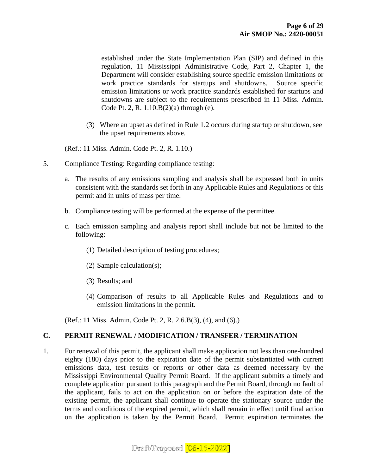established under the State Implementation Plan (SIP) and defined in this regulation, 11 Mississippi Administrative Code, Part 2, Chapter 1, the Department will consider establishing source specific emission limitations or work practice standards for startups and shutdowns. Source specific emission limitations or work practice standards established for startups and shutdowns are subject to the requirements prescribed in 11 Miss. Admin. Code Pt. 2, R. 1.10.B(2)(a) through (e).

(3) Where an upset as defined in Rule 1.2 occurs during startup or shutdown, see the upset requirements above.

(Ref.: 11 Miss. Admin. Code Pt. 2, R. 1.10.)

- 5. Compliance Testing: Regarding compliance testing:
	- a. The results of any emissions sampling and analysis shall be expressed both in units consistent with the standards set forth in any Applicable Rules and Regulations or this permit and in units of mass per time.
	- b. Compliance testing will be performed at the expense of the permittee.
	- c. Each emission sampling and analysis report shall include but not be limited to the following:
		- (1) Detailed description of testing procedures;
		- (2) Sample calculation(s);
		- (3) Results; and
		- (4) Comparison of results to all Applicable Rules and Regulations and to emission limitations in the permit.

(Ref.: 11 Miss. Admin. Code Pt. 2, R. 2.6.B(3), (4), and (6).)

#### **C. PERMIT RENEWAL / MODIFICATION / TRANSFER / TERMINATION**

1. For renewal of this permit, the applicant shall make application not less than one-hundred eighty (180) days prior to the expiration date of the permit substantiated with current emissions data, test results or reports or other data as deemed necessary by the Mississippi Environmental Quality Permit Board. If the applicant submits a timely and complete application pursuant to this paragraph and the Permit Board, through no fault of the applicant, fails to act on the application on or before the expiration date of the existing permit, the applicant shall continue to operate the stationary source under the terms and conditions of the expired permit, which shall remain in effect until final action on the application is taken by the Permit Board. Permit expiration terminates the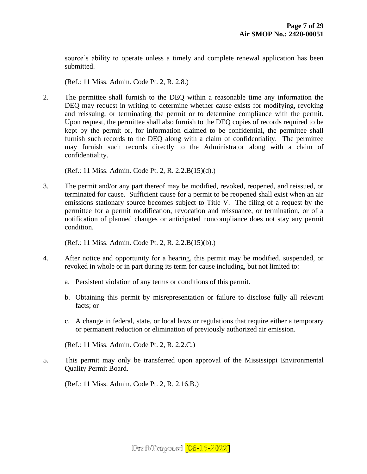source's ability to operate unless a timely and complete renewal application has been submitted.

(Ref.: 11 Miss. Admin. Code Pt. 2, R. 2.8.)

2. The permittee shall furnish to the DEQ within a reasonable time any information the DEQ may request in writing to determine whether cause exists for modifying, revoking and reissuing, or terminating the permit or to determine compliance with the permit. Upon request, the permittee shall also furnish to the DEQ copies of records required to be kept by the permit or, for information claimed to be confidential, the permittee shall furnish such records to the DEQ along with a claim of confidentiality. The permittee may furnish such records directly to the Administrator along with a claim of confidentiality.

(Ref.: 11 Miss. Admin. Code Pt. 2, R. 2.2.B(15)(d).)

3. The permit and/or any part thereof may be modified, revoked, reopened, and reissued, or terminated for cause. Sufficient cause for a permit to be reopened shall exist when an air emissions stationary source becomes subject to Title V. The filing of a request by the permittee for a permit modification, revocation and reissuance, or termination, or of a notification of planned changes or anticipated noncompliance does not stay any permit condition.

(Ref.: 11 Miss. Admin. Code Pt. 2, R. 2.2.B(15)(b).)

- 4. After notice and opportunity for a hearing, this permit may be modified, suspended, or revoked in whole or in part during its term for cause including, but not limited to:
	- a. Persistent violation of any terms or conditions of this permit.
	- b. Obtaining this permit by misrepresentation or failure to disclose fully all relevant facts; or
	- c. A change in federal, state, or local laws or regulations that require either a temporary or permanent reduction or elimination of previously authorized air emission.

(Ref.: 11 Miss. Admin. Code Pt. 2, R. 2.2.C.)

5. This permit may only be transferred upon approval of the Mississippi Environmental Quality Permit Board.

(Ref.: 11 Miss. Admin. Code Pt. 2, R. 2.16.B.)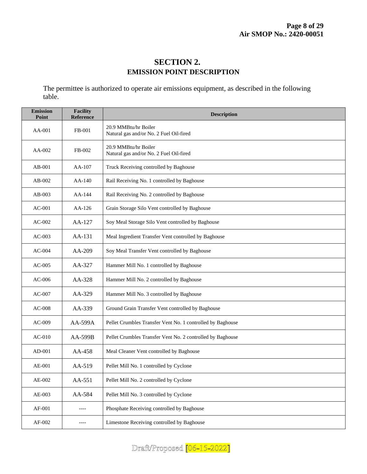## **SECTION 2. EMISSION POINT DESCRIPTION**

The permittee is authorized to operate air emissions equipment, as described in the following table.

| <b>Emission</b><br>Point | <b>Facility</b><br>Reference | <b>Description</b>                                              |
|--------------------------|------------------------------|-----------------------------------------------------------------|
| AA-001                   | FB-001                       | 20.9 MMBtu/hr Boiler<br>Natural gas and/or No. 2 Fuel Oil-fired |
| $AA-002$                 | FB-002                       | 20.9 MMBtu/hr Boiler<br>Natural gas and/or No. 2 Fuel Oil-fired |
| $AB-001$                 | AA-107                       | Truck Receiving controlled by Baghouse                          |
| $AB-002$                 | AA-140                       | Rail Receiving No. 1 controlled by Baghouse                     |
| $AB-003$                 | $AA-144$                     | Rail Receiving No. 2 controlled by Baghouse                     |
| $AC-001$                 | $AA-126$                     | Grain Storage Silo Vent controlled by Baghouse                  |
| $AC-002$                 | $AA-127$                     | Soy Meal Storage Silo Vent controlled by Baghouse               |
| $AC-003$                 | AA-131                       | Meal Ingredient Transfer Vent controlled by Baghouse            |
| $AC-004$                 | AA-209                       | Soy Meal Transfer Vent controlled by Baghouse                   |
| $AC-005$                 | AA-327                       | Hammer Mill No. 1 controlled by Baghouse                        |
| $AC-006$                 | AA-328                       | Hammer Mill No. 2 controlled by Baghouse                        |
| $AC-007$                 | AA-329                       | Hammer Mill No. 3 controlled by Baghouse                        |
| <b>AC-008</b>            | AA-339                       | Ground Grain Transfer Vent controlled by Baghouse               |
| $AC-009$                 | $AA-599A$                    | Pellet Crumbles Transfer Vent No. 1 controlled by Baghouse      |
| $AC-010$                 | AA-599B                      | Pellet Crumbles Transfer Vent No. 2 controlled by Baghouse      |
| AD-001                   | $AA-458$                     | Meal Cleaner Vent controlled by Baghouse                        |
| AE-001                   | AA-519                       | Pellet Mill No. 1 controlled by Cyclone                         |
| AE-002                   | AA-551                       | Pellet Mill No. 2 controlled by Cyclone                         |
| AE-003                   | AA-584                       | Pellet Mill No. 3 controlled by Cyclone                         |
| AF-001                   | ----                         | Phosphate Receiving controlled by Baghouse                      |
| AF-002                   | ----                         | Limestone Receiving controlled by Baghouse                      |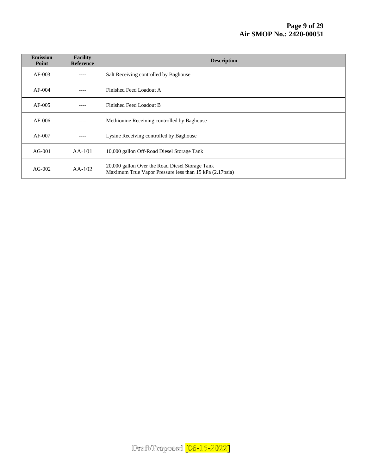| <b>Emission</b><br>Point | <b>Facility</b><br><b>Reference</b> | <b>Description</b>                                                                                         |
|--------------------------|-------------------------------------|------------------------------------------------------------------------------------------------------------|
| $AF-003$                 | ----                                | Salt Receiving controlled by Baghouse                                                                      |
| $AF-004$                 | ----                                | Finished Feed Loadout A                                                                                    |
| $AF-005$                 | ----                                | Finished Feed Loadout B                                                                                    |
| $AF-006$                 | ----                                | Methionine Receiving controlled by Baghouse                                                                |
| $AF-007$                 | ----                                | Lysine Receiving controlled by Baghouse                                                                    |
| $AG-001$                 | $AA-101$                            | 10,000 gallon Off-Road Diesel Storage Tank                                                                 |
| $AG-002$                 | $AA-102$                            | 20,000 gallon Over the Road Diesel Storage Tank<br>Maximum True Vapor Pressure less than 15 kPa (2.17psia) |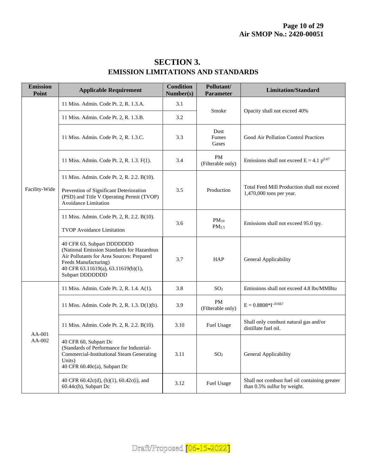| <b>Emission</b><br>Point | <b>Applicable Requirement</b>                                                                                                                                                                           | <b>Condition</b><br>Number(s) | Pollutant/<br>Parameter        | <b>Limitation/Standard</b>                                                   |
|--------------------------|---------------------------------------------------------------------------------------------------------------------------------------------------------------------------------------------------------|-------------------------------|--------------------------------|------------------------------------------------------------------------------|
|                          | 11 Miss. Admin. Code Pt. 2, R. 1.3.A.                                                                                                                                                                   | 3.1                           |                                | Opacity shall not exceed 40%                                                 |
|                          | 11 Miss. Admin. Code Pt. 2, R. 1.3.B.                                                                                                                                                                   | 3.2                           | Smoke                          |                                                                              |
|                          | 11 Miss. Admin. Code Pt. 2, R. 1.3.C.                                                                                                                                                                   | 3.3                           | Dust<br>Fumes<br>Gases         | Good Air Pollution Control Practices                                         |
|                          | 11 Miss. Admin. Code Pt. 2, R. 1.3. F(1).                                                                                                                                                               | 3.4                           | PM<br>(Filterable only)        | Emissions shall not exceed $E = 4.1 p^{0.67}$                                |
| Facility-Wide            | 11 Miss. Admin. Code Pt. 2, R. 2.2. B(10).<br>Prevention of Significant Deterioration<br>(PSD) and Title V Operating Permit (TVOP)<br><b>Avoidance Limitation</b>                                       | 3.5                           | Production                     | Total Feed Mill Production shall not exceed<br>1,470,000 tons per year.      |
|                          | 11 Miss. Admin. Code Pt. 2, R. 2.2. B(10).<br><b>TVOP Avoidance Limitation</b>                                                                                                                          | 3.6                           | $PM_{10}$<br>PM <sub>2.5</sub> | Emissions shall not exceed 95.0 tpy.                                         |
|                          | 40 CFR 63, Subpart DDDDDDD<br>(National Emission Standards for Hazardous<br>Air Pollutants for Area Sources: Prepared<br>Feeds Manufacturing)<br>40 CFR 63.11619(a), 63.11619(b)(1),<br>Subpart DDDDDDD | 3.7                           | <b>HAP</b>                     | General Applicability                                                        |
| $AA-001$<br>AA-002       | 11 Miss. Admin. Code Pt. 2, R. 1.4. A(1).                                                                                                                                                               | 3.8                           | SO <sub>2</sub>                | Emissions shall not exceed 4.8 lbs/MMBtu                                     |
|                          | 11 Miss. Admin. Code Pt. 2, R. 1.3. D(1)(b).                                                                                                                                                            | 3.9                           | PM<br>(Filterable only)        | $E = 0.8808 * I^{-0.01667}$                                                  |
|                          | 11 Miss. Admin. Code Pt. 2, R. 2.2. B(10).                                                                                                                                                              | 3.10                          | <b>Fuel Usage</b>              | Shall only combust natural gas and/or<br>distillate fuel oil.                |
|                          | 40 CFR 60, Subpart Dc<br>(Standards of Performance for Industrial-<br><b>Commercial-Institutional Steam Generating</b><br>Units)<br>40 CFR 60.40c(a), Subpart Dc                                        | 3.11                          | SO <sub>2</sub>                | General Applicability                                                        |
|                          | 40 CFR 60.42c(d), (h)(1), 60.42c(i), and<br>60.44c(h), Subpart Dc                                                                                                                                       | 3.12                          | Fuel Usage                     | Shall not combust fuel oil containing greater<br>than 0.5% sulfur by weight. |

# **SECTION 3. EMISSION LIMITATIONS AND STANDARDS**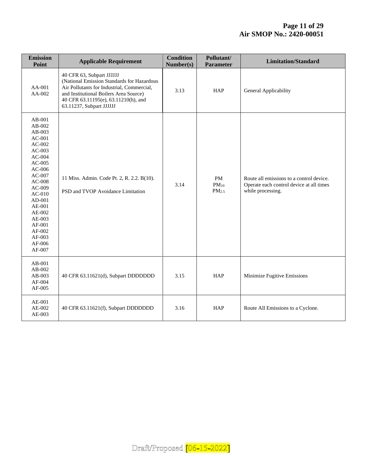| <b>Emission</b><br>Point                                                                                                                                                                                                                             | <b>Applicable Requirement</b>                                                                                                                                                                                                       | <b>Condition</b><br>Number(s) | Pollutant/<br><b>Parameter</b>       | <b>Limitation/Standard</b>                                                                                |
|------------------------------------------------------------------------------------------------------------------------------------------------------------------------------------------------------------------------------------------------------|-------------------------------------------------------------------------------------------------------------------------------------------------------------------------------------------------------------------------------------|-------------------------------|--------------------------------------|-----------------------------------------------------------------------------------------------------------|
| AA-001<br>AA-002                                                                                                                                                                                                                                     | 40 CFR 63, Subpart JJJJJJ<br>(National Emission Standards for Hazardous<br>Air Pollutants for Industrial, Commercial,<br>and Institutional Boilers Area Source)<br>40 CFR 63.11195(e), 63.11210(h), and<br>63.11237, Subpart JJJJJJ | 3.13                          | <b>HAP</b>                           | General Applicability                                                                                     |
| AB-001<br>AB-002<br>$AB-003$<br>$AC-001$<br>$AC-002$<br>$AC-003$<br>$AC-004$<br>$AC-005$<br>$AC-006$<br>$AC-007$<br>$AC-008$<br>$AC-009$<br>$AC-010$<br>$AD-001$<br>AE-001<br>$AE-002$<br>$AE-003$<br>AF-001<br>AF-002<br>AF-003<br>AF-006<br>AF-007 | 11 Miss. Admin. Code Pt. 2, R. 2.2. B(10).<br>PSD and TVOP Avoidance Limitation                                                                                                                                                     | 3.14                          | PM<br>$PM_{10}$<br>PM <sub>2.5</sub> | Route all emissions to a control device.<br>Operate each control device at all times<br>while processing. |
| AB-001<br>$AB-002$<br>AB-003<br>AF-004<br>AF-005                                                                                                                                                                                                     | 40 CFR 63.11621(d), Subpart DDDDDDD                                                                                                                                                                                                 | 3.15                          | <b>HAP</b>                           | Minimize Fugitive Emissions                                                                               |
| AE-001<br>AE-002<br>$AE-003$                                                                                                                                                                                                                         | 40 CFR 63.11621(f), Subpart DDDDDDD                                                                                                                                                                                                 | 3.16                          | HAP                                  | Route All Emissions to a Cyclone.                                                                         |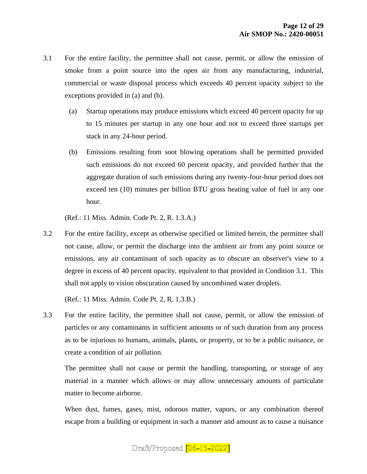- 3.1 For the entire facility, the permittee shall not cause, permit, or allow the emission of smoke from a point source into the open air from any manufacturing, industrial, commercial or waste disposal process which exceeds 40 percent opacity subject to the exceptions provided in (a) and (b).
	- (a) Startup operations may produce emissions which exceed 40 percent opacity for up to 15 minutes per startup in any one hour and not to exceed three startups per stack in any 24-hour period.
	- (b) Emissions resulting from soot blowing operations shall be permitted provided such emissions do not exceed 60 percent opacity, and provided further that the aggregate duration of such emissions during any twenty-four-hour period does not exceed ten (10) minutes per billion BTU gross heating value of fuel in any one hour.

(Ref.: 11 Miss. Admin. Code Pt. 2, R. 1.3.A.)

3.2 For the entire facility, except as otherwise specified or limited herein, the permittee shall not cause, allow, or permit the discharge into the ambient air from any point source or emissions, any air contaminant of such opacity as to obscure an observer's view to a degree in excess of 40 percent opacity, equivalent to that provided in Condition 3.1. This shall not apply to vision obscuration caused by uncombined water droplets.

(Ref.: 11 Miss. Admin. Code Pt. 2, R. 1.3.B.)

3.3 For the entire facility, the permittee shall not cause, permit, or allow the emission of particles or any contaminants in sufficient amounts or of such duration from any process as to be injurious to humans, animals, plants, or property, or to be a public nuisance, or create a condition of air pollution.

The permittee shall not cause or permit the handling, transporting, or storage of any material in a manner which allows or may allow unnecessary amounts of particulate matter to become airborne.

When dust, fumes, gases, mist, odorous matter, vapors, or any combination thereof escape from a building or equipment in such a manner and amount as to cause a nuisance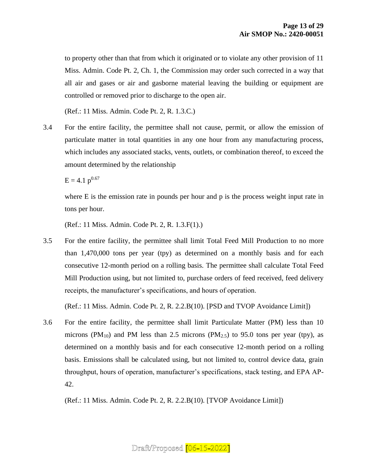to property other than that from which it originated or to violate any other provision of 11 Miss. Admin. Code Pt. 2, Ch. 1, the Commission may order such corrected in a way that all air and gases or air and gasborne material leaving the building or equipment are controlled or removed prior to discharge to the open air.

(Ref.: 11 Miss. Admin. Code Pt. 2, R. 1.3.C.)

3.4 For the entire facility, the permittee shall not cause, permit, or allow the emission of particulate matter in total quantities in any one hour from any manufacturing process, which includes any associated stacks, vents, outlets, or combination thereof, to exceed the amount determined by the relationship

 $E = 4.1$  p<sup>0.67</sup>

where E is the emission rate in pounds per hour and p is the process weight input rate in tons per hour.

(Ref.: 11 Miss. Admin. Code Pt. 2, R. 1.3.F(1).)

3.5 For the entire facility, the permittee shall limit Total Feed Mill Production to no more than 1,470,000 tons per year (tpy) as determined on a monthly basis and for each consecutive 12-month period on a rolling basis. The permittee shall calculate Total Feed Mill Production using, but not limited to, purchase orders of feed received, feed delivery receipts, the manufacturer's specifications, and hours of operation.

(Ref.: 11 Miss. Admin. Code Pt. 2, R. 2.2.B(10). [PSD and TVOP Avoidance Limit])

3.6 For the entire facility, the permittee shall limit Particulate Matter (PM) less than 10 microns (PM<sub>10</sub>) and PM less than 2.5 microns (PM<sub>2.5</sub>) to 95.0 tons per year (tpy), as determined on a monthly basis and for each consecutive 12-month period on a rolling basis. Emissions shall be calculated using, but not limited to, control device data, grain throughput, hours of operation, manufacturer's specifications, stack testing, and EPA AP-42.

(Ref.: 11 Miss. Admin. Code Pt. 2, R. 2.2.B(10). [TVOP Avoidance Limit])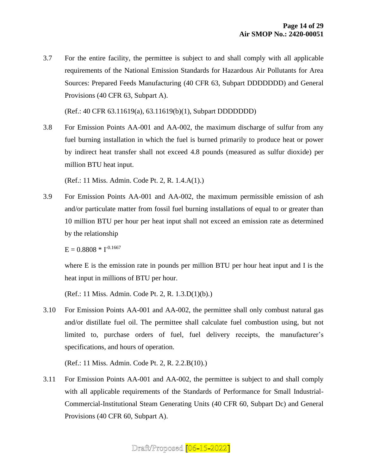3.7 For the entire facility, the permittee is subject to and shall comply with all applicable requirements of the National Emission Standards for Hazardous Air Pollutants for Area Sources: Prepared Feeds Manufacturing (40 CFR 63, Subpart DDDDDDD) and General Provisions (40 CFR 63, Subpart A).

(Ref.: 40 CFR 63.11619(a), 63.11619(b)(1), Subpart DDDDDDD)

3.8 For Emission Points AA-001 and AA-002, the maximum discharge of sulfur from any fuel burning installation in which the fuel is burned primarily to produce heat or power by indirect heat transfer shall not exceed 4.8 pounds (measured as sulfur dioxide) per million BTU heat input.

(Ref.: 11 Miss. Admin. Code Pt. 2, R. 1.4.A(1).)

3.9 For Emission Points AA-001 and AA-002, the maximum permissible emission of ash and/or particulate matter from fossil fuel burning installations of equal to or greater than 10 million BTU per hour per heat input shall not exceed an emission rate as determined by the relationship

 $E = 0.8808 * I^{-0.1667}$ 

where E is the emission rate in pounds per million BTU per hour heat input and I is the heat input in millions of BTU per hour.

(Ref.: 11 Miss. Admin. Code Pt. 2, R. 1.3.D(1)(b).)

3.10 For Emission Points AA-001 and AA-002, the permittee shall only combust natural gas and/or distillate fuel oil. The permittee shall calculate fuel combustion using, but not limited to, purchase orders of fuel, fuel delivery receipts, the manufacturer's specifications, and hours of operation.

(Ref.: 11 Miss. Admin. Code Pt. 2, R. 2.2.B(10).)

3.11 For Emission Points AA-001 and AA-002, the permittee is subject to and shall comply with all applicable requirements of the Standards of Performance for Small Industrial-Commercial-Institutional Steam Generating Units (40 CFR 60, Subpart Dc) and General Provisions (40 CFR 60, Subpart A).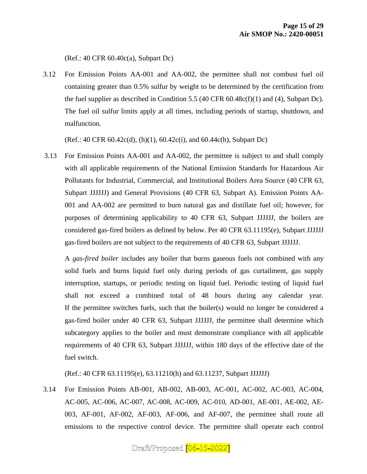(Ref.: 40 CFR 60.40c(a), Subpart Dc)

3.12 For Emission Points AA-001 and AA-002, the permittee shall not combust fuel oil containing greater than 0.5% sulfur by weight to be determined by the certification from the fuel supplier as described in Condition 5.5 (40 CFR 60.48c(f)(1) and (4), Subpart Dc). The fuel oil sulfur limits apply at all times, including periods of startup, shutdown, and malfunction.

(Ref.: 40 CFR 60.42c(d), (h)(1), 60.42c(i), and 60.44c(h), Subpart Dc)

3.13 For Emission Points AA-001 and AA-002, the permittee is subject to and shall comply with all applicable requirements of the National Emission Standards for Hazardous Air Pollutants for Industrial, Commercial, and Institutional Boilers Area Source (40 CFR 63, Subpart JJJJJJ) and General Provisions (40 CFR 63, Subpart A). Emission Points AA-001 and AA-002 are permitted to burn natural gas and distillate fuel oil; however, for purposes of determining applicability to 40 CFR 63, Subpart JJJJJJ, the boilers are considered gas-fired boilers as defined by below. Per 40 CFR 63.11195(e), Subpart JJJJJJ gas-fired boilers are not subject to the requirements of 40 CFR 63, Subpart JJJJJJ.

A *gas-fired boiler* includes any boiler that burns gaseous fuels not combined with any solid fuels and burns liquid fuel only during periods of gas curtailment, gas supply interruption, startups, or periodic testing on liquid fuel. Periodic testing of liquid fuel shall not exceed a combined total of 48 hours during any calendar year. If the permittee switches fuels, such that the boiler(s) would no longer be considered a gas-fired boiler under 40 CFR 63, Subpart JJJJJJ, the permittee shall determine which subcategory applies to the boiler and must demonstrate compliance with all applicable requirements of 40 CFR 63, Subpart JJJJJJ, within 180 days of the effective date of the fuel switch.

(Ref.: 40 CFR 63.11195(e), 63.11210(h) and 63.11237, Subpart JJJJJJ)

3.14 For Emission Points AB-001, AB-002, AB-003, AC-001, AC-002, AC-003, AC-004, AC-005, AC-006, AC-007, AC-008, AC-009, AC-010, AD-001, AE-001, AE-002, AE-003, AF-001, AF-002, AF-003, AF-006, and AF-007, the permittee shall route all emissions to the respective control device. The permittee shall operate each control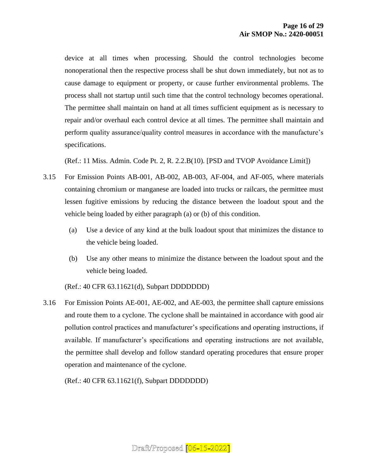device at all times when processing. Should the control technologies become nonoperational then the respective process shall be shut down immediately, but not as to cause damage to equipment or property, or cause further environmental problems. The process shall not startup until such time that the control technology becomes operational. The permittee shall maintain on hand at all times sufficient equipment as is necessary to repair and/or overhaul each control device at all times. The permittee shall maintain and perform quality assurance/quality control measures in accordance with the manufacture's specifications.

(Ref.: 11 Miss. Admin. Code Pt. 2, R. 2.2.B(10). [PSD and TVOP Avoidance Limit])

- 3.15 For Emission Points AB-001, AB-002, AB-003, AF-004, and AF-005, where materials containing chromium or manganese are loaded into trucks or railcars, the permittee must lessen fugitive emissions by reducing the distance between the loadout spout and the vehicle being loaded by either paragraph (a) or (b) of this condition.
	- (a) Use a device of any kind at the bulk loadout spout that minimizes the distance to the vehicle being loaded.
	- (b) Use any other means to minimize the distance between the loadout spout and the vehicle being loaded.
	- (Ref.: 40 CFR 63.11621(d), Subpart DDDDDDD)
- 3.16 For Emission Points AE-001, AE-002, and AE-003, the permittee shall capture emissions and route them to a cyclone. The cyclone shall be maintained in accordance with good air pollution control practices and manufacturer's specifications and operating instructions, if available. If manufacturer's specifications and operating instructions are not available, the permittee shall develop and follow standard operating procedures that ensure proper operation and maintenance of the cyclone.

(Ref.: 40 CFR 63.11621(f), Subpart DDDDDDD)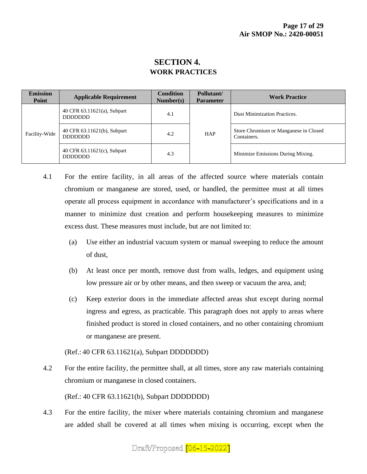## **SECTION 4. WORK PRACTICES**

| <b>Emission</b><br>Point | <b>Applicable Requirement</b>                  | <b>Condition</b><br>Number(s) | Pollutant/<br><b>Parameter</b> | <b>Work Practice</b>                                 |
|--------------------------|------------------------------------------------|-------------------------------|--------------------------------|------------------------------------------------------|
| Facility-Wide            | 40 CFR 63.11621(a), Subpart<br><b>DDDDDDDD</b> | 4.1                           |                                | <b>Dust Minimization Practices.</b>                  |
|                          | 40 CFR 63.11621(b), Subpart<br><b>DDDDDDD</b>  | <b>HAP</b><br>4.2             |                                | Store Chromium or Manganese in Closed<br>Containers. |
|                          | 40 CFR 63.11621(c), Subpart<br><b>DDDDDDD</b>  | 4.3                           |                                | Minimize Emissions During Mixing.                    |

- 4.1 For the entire facility, in all areas of the affected source where materials contain chromium or manganese are stored, used, or handled, the permittee must at all times operate all process equipment in accordance with manufacturer's specifications and in a manner to minimize dust creation and perform housekeeping measures to minimize excess dust. These measures must include, but are not limited to:
	- (a) Use either an industrial vacuum system or manual sweeping to reduce the amount of dust,
	- (b) At least once per month, remove dust from walls, ledges, and equipment using low pressure air or by other means, and then sweep or vacuum the area, and;
	- (c) Keep exterior doors in the immediate affected areas shut except during normal ingress and egress, as practicable. This paragraph does not apply to areas where finished product is stored in closed containers, and no other containing chromium or manganese are present.

(Ref.: 40 CFR 63.11621(a), Subpart DDDDDDD)

4.2 For the entire facility, the permittee shall, at all times, store any raw materials containing chromium or manganese in closed containers.

(Ref.: 40 CFR 63.11621(b), Subpart DDDDDDD)

4.3 For the entire facility, the mixer where materials containing chromium and manganese are added shall be covered at all times when mixing is occurring, except when the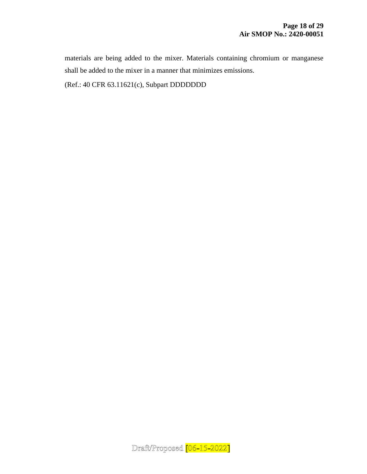materials are being added to the mixer. Materials containing chromium or manganese shall be added to the mixer in a manner that minimizes emissions.

(Ref.: 40 CFR 63.11621(c), Subpart DDDDDDD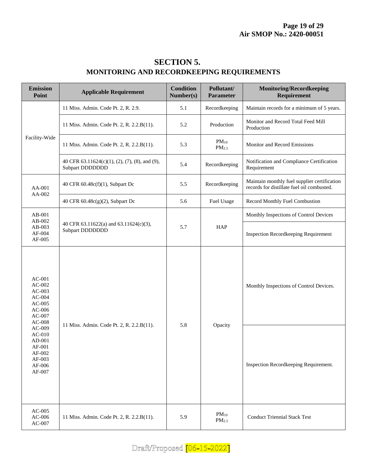| <b>SECTION 5.</b>                                |
|--------------------------------------------------|
| <b>MONITORING AND RECORDKEEPING REQUIREMENTS</b> |

| <b>Emission</b><br>Point                                                                                                                                                             | <b>Applicable Requirement</b>                                     | <b>Condition</b><br>Number(s) | Pollutant/<br><b>Parameter</b> | <b>Monitoring/Recordkeeping</b><br>Requirement                                             |
|--------------------------------------------------------------------------------------------------------------------------------------------------------------------------------------|-------------------------------------------------------------------|-------------------------------|--------------------------------|--------------------------------------------------------------------------------------------|
|                                                                                                                                                                                      | 11 Miss. Admin. Code Pt. 2, R. 2.9.                               | 5.1                           | Recordkeeping                  | Maintain records for a minimum of 5 years.                                                 |
|                                                                                                                                                                                      | 11 Miss. Admin. Code Pt. 2, R. 2.2.B(11).                         | 5.2                           | Production                     | Monitor and Record Total Feed Mill<br>Production                                           |
| Facility-Wide                                                                                                                                                                        | 11 Miss. Admin. Code Pt. 2, R. 2.2.B(11).                         | 5.3                           | $PM_{10}$<br>PM <sub>2.5</sub> | Monitor and Record Emissions                                                               |
|                                                                                                                                                                                      | 40 CFR 63.11624(c)(1), (2), (7), (8), and (9),<br>Subpart DDDDDDD | 5.4                           | Recordkeeping                  | Notification and Compliance Certification<br>Requirement                                   |
| AA-001<br>AA-002                                                                                                                                                                     | 40 CFR 60.48c(f)(1), Subpart Dc                                   | 5.5                           | Recordkeeping                  | Maintain monthly fuel supplier certification<br>records for distillate fuel oil combusted. |
|                                                                                                                                                                                      | 40 CFR $60.48c(g)(2)$ , Subpart Dc                                | 5.6                           | Fuel Usage                     | Record Monthly Fuel Combustion                                                             |
| AB-001                                                                                                                                                                               |                                                                   |                               |                                | Monthly Inspections of Control Devices                                                     |
| AB-002<br>AB-003<br>AF-004<br>AF-005                                                                                                                                                 | 40 CFR 63.11622(a) and 63.11624(c)(3),<br>Subpart DDDDDDD         | 5.7                           | HAP                            | <b>Inspection Recordkeeping Requirement</b>                                                |
| $AC-001$<br>$AC-002$<br>$AC-003$<br>$AC-004$<br>$AC-005$<br>$AC-006$<br>$AC-007$<br>$AC-008$<br>$AC-009$<br>$AC-010$<br>$AD-001$<br>$AF-001$<br>AF-002<br>AF-003<br>AF-006<br>AF-007 | 11 Miss. Admin. Code Pt. 2, R. 2.2.B(11).                         | 5.8                           | Opacity                        | Monthly Inspections of Control Devices.                                                    |
|                                                                                                                                                                                      |                                                                   |                               |                                | Inspection Recordkeeping Requirement.                                                      |
| $AC-005$<br>$AC-006$<br>$AC-007$                                                                                                                                                     | 11 Miss. Admin. Code Pt. 2, R. 2.2.B(11).                         | 5.9                           | $PM_{10}$<br>$PM_{2.5}$        | <b>Conduct Triennial Stack Test</b>                                                        |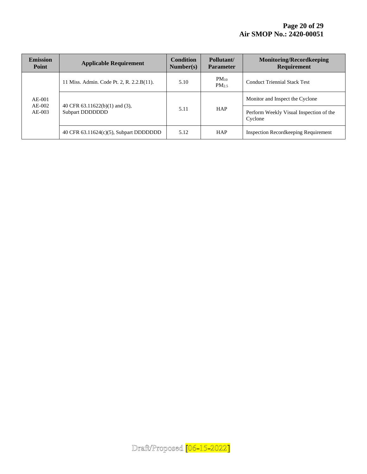| <b>Emission</b><br>Point       | <b>Applicable Requirement</b>                                 | <b>Condition</b><br>Number(s) | Pollutant/<br><b>Parameter</b> | <b>Monitoring/Recordkeeping</b><br><b>Requirement</b> |
|--------------------------------|---------------------------------------------------------------|-------------------------------|--------------------------------|-------------------------------------------------------|
|                                | 11 Miss. Admin. Code Pt. 2, R. 2.2.B(11).                     | 5.10                          | $PM_{10}$<br>PM <sub>2.5</sub> | <b>Conduct Triennial Stack Test</b>                   |
| $AE-001$<br>AE-002<br>$AE-003$ |                                                               | 5.11                          | <b>HAP</b>                     | Monitor and Inspect the Cyclone                       |
|                                | 40 CFR $63.11622(b)(1)$ and $(3)$ ,<br><b>Subpart DDDDDDD</b> |                               |                                | Perform Weekly Visual Inspection of the<br>Cyclone    |
|                                | 40 CFR $63.11624(c)(5)$ , Subpart DDDDDDD                     | 5.12                          | <b>HAP</b>                     | <b>Inspection Record keeping Requirement</b>          |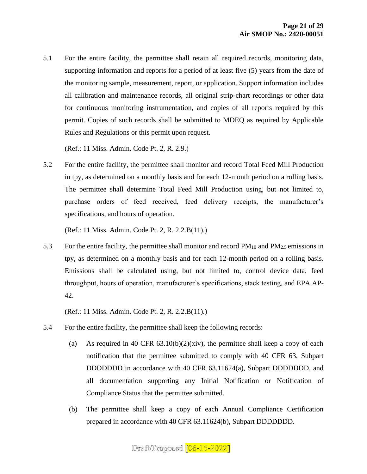5.1 For the entire facility, the permittee shall retain all required records, monitoring data, supporting information and reports for a period of at least five (5) years from the date of the monitoring sample, measurement, report, or application. Support information includes all calibration and maintenance records, all original strip-chart recordings or other data for continuous monitoring instrumentation, and copies of all reports required by this permit. Copies of such records shall be submitted to MDEQ as required by Applicable Rules and Regulations or this permit upon request.

(Ref.: 11 Miss. Admin. Code Pt. 2, R. 2.9.)

5.2 For the entire facility, the permittee shall monitor and record Total Feed Mill Production in tpy, as determined on a monthly basis and for each 12-month period on a rolling basis. The permittee shall determine Total Feed Mill Production using, but not limited to, purchase orders of feed received, feed delivery receipts, the manufacturer's specifications, and hours of operation.

(Ref.: 11 Miss. Admin. Code Pt. 2, R. 2.2.B(11).)

5.3 For the entire facility, the permittee shall monitor and record  $PM_{10}$  and  $PM_{2.5}$  emissions in tpy, as determined on a monthly basis and for each 12-month period on a rolling basis. Emissions shall be calculated using, but not limited to, control device data, feed throughput, hours of operation, manufacturer's specifications, stack testing, and EPA AP-42.

(Ref.: 11 Miss. Admin. Code Pt. 2, R. 2.2.B(11).)

- 5.4 For the entire facility, the permittee shall keep the following records:
	- (a) As required in 40 CFR  $63.10(b)(2)(xiv)$ , the permittee shall keep a copy of each notification that the permittee submitted to comply with 40 CFR 63, Subpart DDDDDDD in accordance with 40 CFR 63.11624(a), Subpart DDDDDDD, and all documentation supporting any Initial Notification or Notification of Compliance Status that the permittee submitted.
	- (b) The permittee shall keep a copy of each Annual Compliance Certification prepared in accordance with 40 CFR 63.11624(b), Subpart DDDDDDD.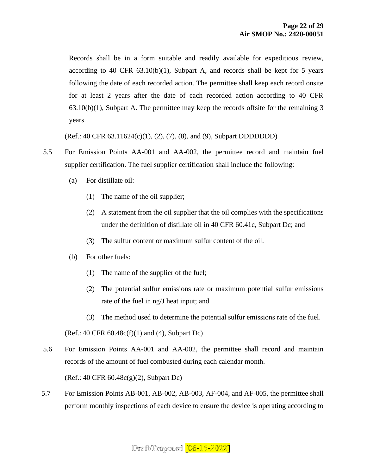Records shall be in a form suitable and readily available for expeditious review, according to 40 CFR  $63.10(b)(1)$ , Subpart A, and records shall be kept for 5 years following the date of each recorded action. The permittee shall keep each record onsite for at least 2 years after the date of each recorded action according to 40 CFR 63.10(b)(1), Subpart A. The permittee may keep the records offsite for the remaining 3 years.

(Ref.: 40 CFR 63.11624(c)(1), (2), (7), (8), and (9), Subpart DDDDDDD)

- 5.5 For Emission Points AA-001 and AA-002, the permittee record and maintain fuel supplier certification. The fuel supplier certification shall include the following:
	- (a) For distillate oil:
		- (1) The name of the oil supplier;
		- (2) A statement from the oil supplier that the oil complies with the specifications under the definition of distillate oil in 40 CFR 60.41c, Subpart Dc; and
		- (3) The sulfur content or maximum sulfur content of the oil.
	- (b) For other fuels:
		- (1) The name of the supplier of the fuel;
		- (2) The potential sulfur emissions rate or maximum potential sulfur emissions rate of the fuel in ng/J heat input; and
		- (3) The method used to determine the potential sulfur emissions rate of the fuel.

 $(Ref.: 40 CFR 60.48c(f)(1)$  and  $(4)$ , Subpart Dc)

5.6 For Emission Points AA-001 and AA-002, the permittee shall record and maintain records of the amount of fuel combusted during each calendar month.

(Ref.: 40 CFR 60.48c(g)(2), Subpart Dc)

5.7 For Emission Points AB-001, AB-002, AB-003, AF-004, and AF-005, the permittee shall perform monthly inspections of each device to ensure the device is operating according to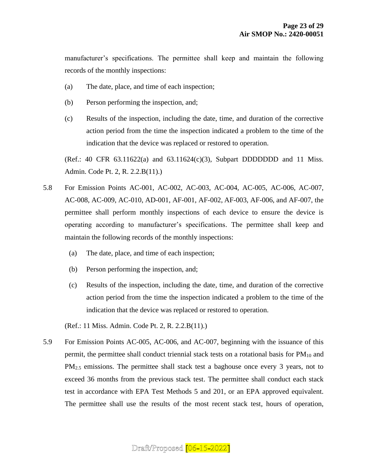manufacturer's specifications. The permittee shall keep and maintain the following records of the monthly inspections:

- (a) The date, place, and time of each inspection;
- (b) Person performing the inspection, and;
- (c) Results of the inspection, including the date, time, and duration of the corrective action period from the time the inspection indicated a problem to the time of the indication that the device was replaced or restored to operation.

(Ref.: 40 CFR  $63.11622(a)$  and  $63.11624(c)(3)$ , Subpart DDDDDDD and 11 Miss. Admin. Code Pt. 2, R. 2.2.B(11).)

- 5.8 For Emission Points AC-001, AC-002, AC-003, AC-004, AC-005, AC-006, AC-007, AC-008, AC-009, AC-010, AD-001, AF-001, AF-002, AF-003, AF-006, and AF-007, the permittee shall perform monthly inspections of each device to ensure the device is operating according to manufacturer's specifications. The permittee shall keep and maintain the following records of the monthly inspections:
	- (a) The date, place, and time of each inspection;
	- (b) Person performing the inspection, and;
	- (c) Results of the inspection, including the date, time, and duration of the corrective action period from the time the inspection indicated a problem to the time of the indication that the device was replaced or restored to operation.

(Ref.: 11 Miss. Admin. Code Pt. 2, R. 2.2.B(11).)

5.9 For Emission Points AC-005, AC-006, and AC-007, beginning with the issuance of this permit, the permittee shall conduct triennial stack tests on a rotational basis for  $PM_{10}$  and PM<sub>2.5</sub> emissions. The permittee shall stack test a baghouse once every 3 years, not to exceed 36 months from the previous stack test. The permittee shall conduct each stack test in accordance with EPA Test Methods 5 and 201, or an EPA approved equivalent. The permittee shall use the results of the most recent stack test, hours of operation,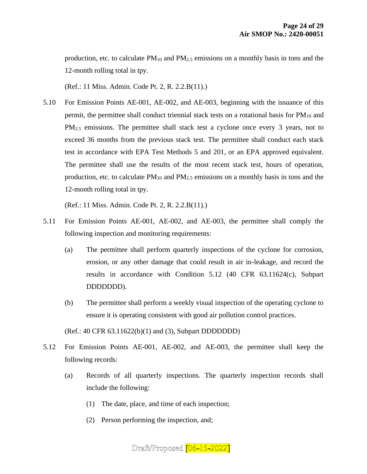production, etc. to calculate  $PM_{10}$  and  $PM_{2.5}$  emissions on a monthly basis in tons and the 12-month rolling total in tpy.

(Ref.: 11 Miss. Admin. Code Pt. 2, R. 2.2.B(11).)

5.10 For Emission Points AE-001, AE-002, and AE-003, beginning with the issuance of this permit, the permittee shall conduct triennial stack tests on a rotational basis for  $PM_{10}$  and PM2.5 emissions. The permittee shall stack test a cyclone once every 3 years, not to exceed 36 months from the previous stack test. The permittee shall conduct each stack test in accordance with EPA Test Methods 5 and 201, or an EPA approved equivalent. The permittee shall use the results of the most recent stack test, hours of operation, production, etc. to calculate  $PM_{10}$  and  $PM_{2.5}$  emissions on a monthly basis in tons and the 12-month rolling total in tpy.

(Ref.: 11 Miss. Admin. Code Pt. 2, R. 2.2.B(11).)

- 5.11 For Emission Points AE-001, AE-002, and AE-003, the permittee shall comply the following inspection and monitoring requirements:
	- (a) The permittee shall perform quarterly inspections of the cyclone for corrosion, erosion, or any other damage that could result in air in-leakage, and record the results in accordance with Condition 5.12 (40 CFR 63.11624(c), Subpart DDDDDDD).
	- (b) The permittee shall perform a weekly visual inspection of the operating cyclone to ensure it is operating consistent with good air pollution control practices.

(Ref.: 40 CFR 63.11622(b)(1) and (3), Subpart DDDDDDD)

- 5.12 For Emission Points AE-001, AE-002, and AE-003, the permittee shall keep the following records:
	- (a) Records of all quarterly inspections. The quarterly inspection records shall include the following:
		- (1) The date, place, and time of each inspection;
		- (2) Person performing the inspection, and;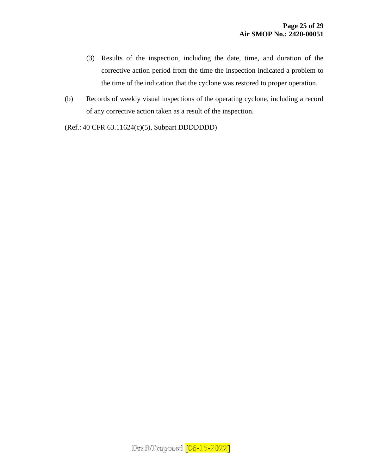- (3) Results of the inspection, including the date, time, and duration of the corrective action period from the time the inspection indicated a problem to the time of the indication that the cyclone was restored to proper operation.
- (b) Records of weekly visual inspections of the operating cyclone, including a record of any corrective action taken as a result of the inspection.

(Ref.: 40 CFR 63.11624(c)(5), Subpart DDDDDDD)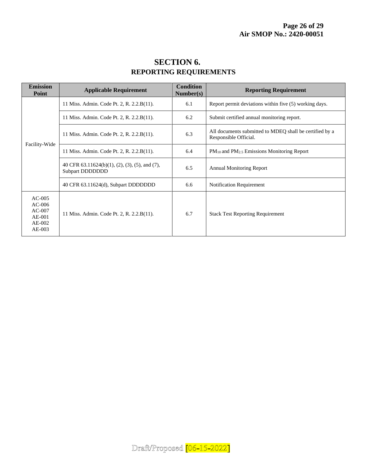| <b>SECTION 6.</b>             |
|-------------------------------|
| <b>REPORTING REQUIREMENTS</b> |

| <b>Emission</b><br>Point                                           | <b>Applicable Requirement</b>                                     | <b>Condition</b><br>Number(s) | <b>Reporting Requirement</b>                                                     |  |
|--------------------------------------------------------------------|-------------------------------------------------------------------|-------------------------------|----------------------------------------------------------------------------------|--|
| Facility-Wide                                                      | 11 Miss. Admin. Code Pt. 2, R. 2.2.B(11).                         | 6.1                           | Report permit deviations within five (5) working days.                           |  |
|                                                                    | 11 Miss. Admin. Code Pt. 2, R. 2.2.B(11).                         | 6.2                           | Submit certified annual monitoring report.                                       |  |
|                                                                    | 11 Miss. Admin. Code Pt. 2, R. 2.2.B(11).                         | 6.3                           | All documents submitted to MDEO shall be certified by a<br>Responsible Official. |  |
|                                                                    | 11 Miss. Admin. Code Pt. 2, R. 2.2.B(11).                         | 6.4                           | PM <sub>10</sub> and PM <sub>2.5</sub> Emissions Monitoring Report               |  |
|                                                                    | 40 CFR 63.11624(b)(1), (2), (3), (5), and (7),<br>Subpart DDDDDDD | 6.5                           | <b>Annual Monitoring Report</b>                                                  |  |
|                                                                    | 40 CFR 63.11624(d), Subpart DDDDDDD                               | 6.6                           | <b>Notification Requirement</b>                                                  |  |
| $AC-005$<br>$AC-006$<br>$AC-007$<br>$AE-001$<br>$AE-002$<br>AE-003 | 11 Miss. Admin. Code Pt. 2, R. 2.2.B(11).                         | 6.7                           | <b>Stack Test Reporting Requirement</b>                                          |  |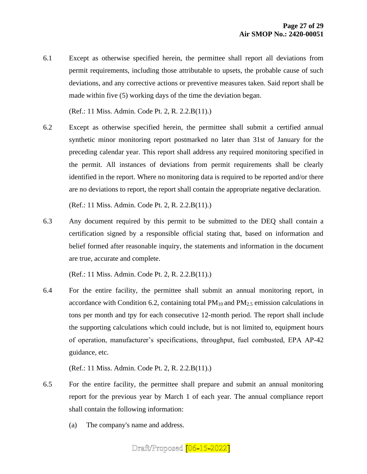6.1 Except as otherwise specified herein, the permittee shall report all deviations from permit requirements, including those attributable to upsets, the probable cause of such deviations, and any corrective actions or preventive measures taken. Said report shall be made within five (5) working days of the time the deviation began.

(Ref.: 11 Miss. Admin. Code Pt. 2, R. 2.2.B(11).)

6.2 Except as otherwise specified herein, the permittee shall submit a certified annual synthetic minor monitoring report postmarked no later than 31st of January for the preceding calendar year. This report shall address any required monitoring specified in the permit. All instances of deviations from permit requirements shall be clearly identified in the report. Where no monitoring data is required to be reported and/or there are no deviations to report, the report shall contain the appropriate negative declaration.

(Ref.: 11 Miss. Admin. Code Pt. 2, R. 2.2.B(11).)

6.3 Any document required by this permit to be submitted to the DEQ shall contain a certification signed by a responsible official stating that, based on information and belief formed after reasonable inquiry, the statements and information in the document are true, accurate and complete.

(Ref.: 11 Miss. Admin. Code Pt. 2, R. 2.2.B(11).)

6.4 For the entire facility, the permittee shall submit an annual monitoring report, in accordance with Condition 6.2, containing total  $PM_{10}$  and  $PM_{2.5}$  emission calculations in tons per month and tpy for each consecutive 12-month period. The report shall include the supporting calculations which could include, but is not limited to, equipment hours of operation, manufacturer's specifications, throughput, fuel combusted, EPA AP-42 guidance, etc.

(Ref.: 11 Miss. Admin. Code Pt. 2, R. 2.2.B(11).)

- 6.5 For the entire facility, the permittee shall prepare and submit an annual monitoring report for the previous year by March 1 of each year. The annual compliance report shall contain the following information:
	- (a) The company's name and address.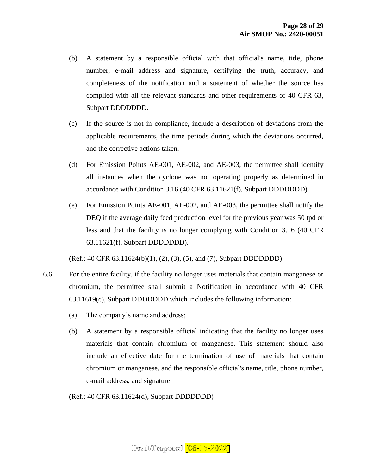- (b) A statement by a responsible official with that official's name, title, phone number, e-mail address and signature, certifying the truth, accuracy, and completeness of the notification and a statement of whether the source has complied with all the relevant standards and other requirements of 40 CFR 63, Subpart DDDDDDD.
- (c) If the source is not in compliance, include a description of deviations from the applicable requirements, the time periods during which the deviations occurred, and the corrective actions taken.
- (d) For Emission Points AE-001, AE-002, and AE-003, the permittee shall identify all instances when the cyclone was not operating properly as determined in accordance with Condition 3.16 (40 CFR 63.11621(f), Subpart DDDDDDD).
- (e) For Emission Points AE-001, AE-002, and AE-003, the permittee shall notify the DEQ if the average daily feed production level for the previous year was 50 tpd or less and that the facility is no longer complying with Condition 3.16 (40 CFR 63.11621(f), Subpart DDDDDDD).

(Ref.: 40 CFR 63.11624(b)(1), (2), (3), (5), and (7), Subpart DDDDDDD)

- 6.6 For the entire facility, if the facility no longer uses materials that contain manganese or chromium, the permittee shall submit a Notification in accordance with 40 CFR 63.11619(c), Subpart DDDDDDD which includes the following information:
	- (a) The company's name and address;
	- (b) A statement by a responsible official indicating that the facility no longer uses materials that contain chromium or manganese. This statement should also include an effective date for the termination of use of materials that contain chromium or manganese, and the responsible official's name, title, phone number, e-mail address, and signature.

(Ref.: 40 CFR 63.11624(d), Subpart DDDDDDD)